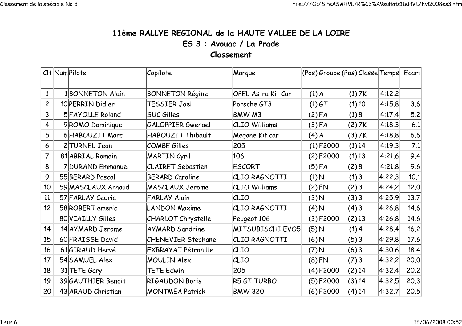## 11ème RALLYE REGIONAL de la HAUTE VALLEE DE LA LOIREES 3 : Avouac / La PradeClassement

|                         | CIt Num Pilote     | Copilote                   | Marque                    |         | (Pos) Groupe (Pos) Classe Temps  Ecart |          |          |        |      |
|-------------------------|--------------------|----------------------------|---------------------------|---------|----------------------------------------|----------|----------|--------|------|
|                         |                    |                            |                           |         |                                        |          |          |        |      |
| $\mathbf{1}$            | 1 BONNETON Alain   | <b>BONNETON Régine</b>     | <b>OPEL Astra Kit Car</b> | (1) A   |                                        | $(1)$ 7K |          | 4:12.2 |      |
| $\overline{c}$          | 10 PERRIN Didier   | TESSIER Joel               | Porsche GT3               |         | $(1) G$ T                              |          | (1) 10   | 4:15.8 | 3.6  |
| $\overline{3}$          | 5 FAYOLLE Roland   | <b>SUC Gilles</b>          | BMW M3                    |         | (2) FA                                 | (1) 8    |          | 4:17.4 | 5.2  |
| $\overline{\mathbf{4}}$ | 9ROMO Dominique    | <b>GALOPPIER Gwenael</b>   | <b>CLIO Williams</b>      |         | (3) FA                                 |          | $(2)$ 7K | 4:18.3 | 6.1  |
| 5                       | 6 HABOUZIT Marc    | HABOUZIT Thibault          | Megane Kit car            | (4) A   |                                        |          | (3) 7K   | 4:18.8 | 6.6  |
| 6                       | 2 TURNEL Jean      | <b>COMBE Gilles</b>        | 205                       |         | $(1)$ F2000                            |          | (1) 14   | 4:19.3 | 7.1  |
| 7                       | 81 ABRIAL Romain   | <b>MARTIN Cyril</b>        | 106                       |         | (2)F2000                               |          | (1) 13   | 4:21.6 | 9.4  |
| 8                       | 7 DURAND Emmanuel  | <b>CLAIRET Sebastien</b>   | <b>ESCORT</b>             | (5) FA  |                                        | (2) 8    |          | 4:21.8 | 9.6  |
| 9                       | 55 BERARD Pascal   | <b>BERARD Caroline</b>     | CLIO RAGNOTTI             | (1) N   |                                        | (1) 3    |          | 4:22.3 | 10.1 |
| 10                      | 59 MASCLAUX Arnaud | MASCLAUX Jerome            | CLIO Williams             | (2)FN   |                                        | (2) 3    |          | 4:24.2 | 12.0 |
| 11                      | 57 FARLAY Cedric   | <b>FARLAY Alain</b>        | CLIO                      | (3) N   |                                        | (3) 3    |          | 4:25.9 | 13.7 |
| 12                      | 58 ROBERT emeric   | <b>LANDON Maxime</b>       | CLIO RAGNOTTI             | (4) N   |                                        | (4) 3    |          | 4:26.8 | 14.6 |
|                         | 80 VIAILLY Gilles  | <b>CHARLOT</b> Chrystelle  | Peugeot 106               |         | $(3) $ F2000                           | (2) 13   |          | 4:26.8 | 14.6 |
| 14                      | 14 AY MARD Jerome  | <b>AYMARD Sandrine</b>     | MITSUBISCHI EVO5          | (5)N    |                                        | (1) 4    |          | 4:28.4 | 16.2 |
| 15                      | 60 FRAISSE David   | <b>CHENEVIER Stephane</b>  | CLIO RAGNOTTI             | (6)N    |                                        | (5) 3    |          | 4:29.8 | 17.6 |
| 16                      | 61 GIRAUD Hervé    | <b>EXBRAYAT Pétronille</b> | CLIO                      | $(7)$ N |                                        | (6) 3    |          | 4:30.6 | 18.4 |
| 17                      | 54 SAMUEL Alex     | <b>MOULIN Alex</b>         | CLIO                      |         | (8)FN                                  | (7) 3    |          | 4:32.2 | 20.0 |
| 18                      | 31 TETE Gary       | <b>TETE Edwin</b>          | 205                       |         | (4)F2000                               | (2) 14   |          | 4:32.4 | 20.2 |
| 19                      | 39 GAUTHIER Benoit | <b>RIGAUDON Boris</b>      | R5 GT TURBO               |         | $(5) $ F2000                           | (3) 14   |          | 4:32.5 | 20.3 |
| 20                      | 43 ARAUD Christian | <b>MONTMEA Patrick</b>     | <b>BMW 320i</b>           |         | $(6)$ F2000                            | (4) 14   |          | 4:32.7 | 20.5 |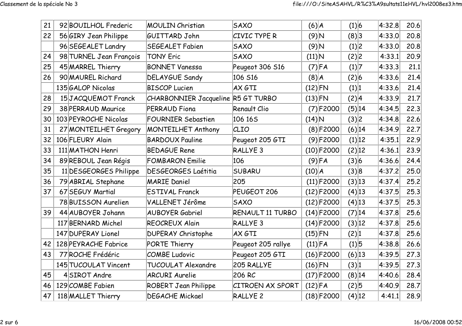| 21 | 92 BOUILHOL Frederic    | <b>MOULIN Christian</b>            | <b>SAXO</b>             | $(6)$ $A$     |              | (1) 6     |        | 4:32.8 | 20.6 |
|----|-------------------------|------------------------------------|-------------------------|---------------|--------------|-----------|--------|--------|------|
| 22 | 56 GIRY Jean Philippe   | GUITTARD John                      | CIVIC TYPE R            | $(9)$ N       |              | (8)3      |        | 4:33.0 | 20.8 |
|    | 96 SEGEALET Landry      | <b>SEGEALET Fabien</b>             | <b>SAXO</b>             | $(9)$ N       |              | (1) 2     |        | 4:33.0 | 20.8 |
| 24 | 98 TURNEL Jean François | <b>TONY Eric</b>                   | <b>SAXO</b>             | $(11)\vert N$ |              | (2) 2     |        | 4:33.1 | 20.9 |
| 25 | 45 MARREL Thierry       | <b>BONNET Vanessa</b>              | Peugeot 306 S16         |               | $(7)$ FA     | (1) 7     |        | 4:33.3 | 21.1 |
| 26 | 90 MAUREL Richard       | <b>DELAYGUE Sandy</b>              | 106 S16                 | $(8)$ $A$     |              | (2) 6     |        | 4:33.6 | 21.4 |
|    | 135 GALOP Nicolas       | <b>BISCOP Lucien</b>               | AX GTI                  | $(12)$ FN     |              | (1) 1     |        | 4:33.6 | 21.4 |
| 28 | 15JACQUEMOT Franck      | CHARBONNIER Jacqueline R5 GT TURBO |                         | $(13)$ FN     |              | (2) 4     |        | 4:33.9 | 21.7 |
| 29 | 38 PERRAUD Maurice      | PERRAUD Fiona                      | Renault Clio            |               | $(7)$ F2000  | (5) 14    |        | 4:34.5 | 22.3 |
| 30 | 103 PEYROCHE Nicolas    | <b>FOURNIER Sebastien</b>          | 106 165                 | $(14)$ N      |              | (3) 2     |        | 4:34.8 | 22.6 |
| 31 | 27 MONTEILHET Gregory   | <b>MONTEILHET Anthony</b>          | CLIO                    |               | (8) F2000    | (6) 14    |        | 4:34.9 | 22.7 |
| 32 | 106 FLEURY Alain        | <b>BARDOUX Pauline</b>             | Peugeot 205 GTI         |               | $(9)$ F2000  |           | (1) 12 | 4:35.1 | 22.9 |
| 33 | 111 MATHON Henri        | <b>BEDAGUE Rene</b>                | RALLYE <sub>3</sub>     |               | $(10)$ F2000 | (2) 12    |        | 4:36.1 | 23.9 |
| 34 | 89 REBOUL Jean Régis    | <b>FOMBARON Emilie</b>             | 106                     |               | $(9)$ FA     | (3) 6     |        | 4:36.6 | 24.4 |
| 35 | 11 DESGEORGES Philippe  | <b>DESGEORGES Laétitia</b>         | <b>SUBARU</b>           | (10) A        |              | (3) 8     |        | 4:37.2 | 25.0 |
| 36 | 79 ABRIAL Stephane      | <b>MARIE Daniel</b>                | 205                     |               | $(11)$ F2000 | (3) 13    |        | 4:37.4 | 25.2 |
| 37 | 67 SEGUY Martial        | <b>ESTIVAL Franck</b>              | PEUGEOT 206             |               | $(12)$ F2000 | $(4)$ 13  |        | 4:37.5 | 25.3 |
|    | 78 BUISSON Aurelien     | VALLENET Jérôme                    | <b>SAXO</b>             |               | $(12)$ F2000 | $(4)$ 13  |        | 4:37.5 | 25.3 |
| 39 | 44 AUBOYER Johann       | <b>AUBOYER Gabriel</b>             | RENAULT 11 TURBO        |               | $(14)$ F2000 | (7) 14    |        | 4:37.8 | 25.6 |
|    | 117 BERNARD Michel      | <b>REOCREUX Alain</b>              | RALLYE <sub>3</sub>     |               | $(14)$ F2000 | (3) 12    |        | 4:37.8 | 25.6 |
|    | 147 DUPERAY Lionel      | <b>DUPERAY Christophe</b>          | AX GTI                  | $(15)$ FN     |              | (2) 1     |        | 4:37.8 | 25.6 |
| 42 | 128 PEYRACHE Fabrice    | PORTE Thierry                      | Peugeot 205 rallye      | $(11)$ FA     |              | (1) 5     |        | 4:38.8 | 26.6 |
| 43 | 77 ROCHE Frédéric       | <b>COMBE Ludovic</b>               | Peugeot 205 GTI         |               | $(16)$ F2000 | $(6)$  13 |        | 4:39.5 | 27.3 |
|    | 145 TUCOULAT Vincent    | TUCOULAT Alexandre                 | 205 RALLYE              | $(16)$ FN     |              | (3) 1     |        | 4:39.5 | 27.3 |
| 45 | 4SIROT Andre            | <b>ARCURI Aurelie</b>              | 206 RC                  |               | $(17)$ F2000 | (8) 14    |        | 4:40.6 | 28.4 |
| 46 | 129 COMBE Fabien        | <b>ROBERT Jean Philippe</b>        | <b>CITROEN AX SPORT</b> | $(12)$ FA     |              | (2) 5     |        | 4:40.9 | 28.7 |
| 47 | 118 MALLET Thierry      | <b>DEGACHE Mickael</b>             | <b>RALLYE 2</b>         |               | $(18)$ F2000 | (4) 12    |        | 4:41.1 | 28.9 |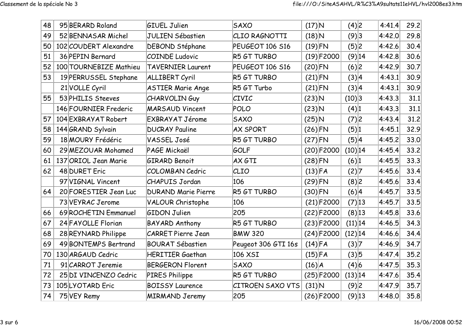| 48 | 95 BERARD Roland       | <b>GIUEL Julien</b>        | <b>SAXO</b>                    | $(17)$ N  |              | (4)2       | 4:41.4 | 29.2 |
|----|------------------------|----------------------------|--------------------------------|-----------|--------------|------------|--------|------|
| 49 | 52 BENNASAR Michel     | <b>JULIEN Sébastien</b>    | CLIO RAGNOTTI                  | $(18)$ N  |              | (9)3       | 4:42.0 | 29.8 |
| 50 | 102 COUDERT Alexandre  | DEBOND Stéphane            | PEUGEOT 106 S16                | $(19)$ FN |              | (5) 2      | 4:42.6 | 30.4 |
| 51 | 36 PEPIN Bernard       | <b>COINDE Ludovic</b>      | R5 GT TURBO                    |           | $(19)$ F2000 | $(9)$ 14   | 4:42.8 | 30.6 |
| 52 | 100 TOURNEBIZE Mathieu | <b>TAVERNIER Laurent</b>   | PEUGEOT 106 S16                | $(20)$ FN |              | (6) 2      | 4:42.9 | 30.7 |
| 53 | 19 PERRUSSEL Stephane  | <b>ALLIBERT Cyril</b>      | R5 GT TURBO                    | $(21)$ FN |              | (3) 4      | 4:43.1 | 30.9 |
|    | 21 VOLLE Cyril         | <b>ASTIER Marie Ange</b>   | R5 GT Turbo                    | $(21)$ FN |              | (3) 4      | 4:43.1 | 30.9 |
| 55 | 53 PHILIS Steeves      | CHARVOLIN Guy              | <b>CIVIC</b>                   | $(23)$ N  |              | (10) 3     | 4:43.3 | 31.1 |
|    | 146 FOURNIER Frederic  | <b>MARSAUD Vincent</b>     | POLO                           | $(23)$ N  |              | (4) 1      | 4:43.3 | 31.1 |
| 57 | 104 EXBRAYAT Robert    | EXBRAYAT Jérome            | <b>SAXO</b>                    | $(25)$ N  |              | (7) 2      | 4:43.4 | 31.2 |
| 58 | 144 GRAND Sylvain      | <b>DUCRAY Pauline</b>      | <b>AX SPORT</b>                | $(26)$ FN |              | (5) 1      | 4:45.1 | 32.9 |
| 59 | 18 MOURY Frédéric      | VASSEL José                | R5 GT TURBO                    | $(27)$ FN |              | (5) 4      | 4:45.2 | 33.0 |
| 60 | 29 MEZOUAR Mohamed     | PAGE Mickaël               | GOLF                           |           | $(20)$ F2000 | $(10)$ 14  | 4:45.4 | 33.2 |
| 61 | 137 ORIOL Jean Marie   | <b>GIRARD Benoit</b>       | AX GTI                         | $(28)$ FN |              | (6) 1      | 4:45.5 | 33.3 |
| 62 | 48 DURET Eric          | <b>COLOMBAN Cedric</b>     | CLIO                           | $(13)$ FA |              | (2) 7      | 4:45.6 | 33.4 |
|    | 97 VIGNAL Vincent      | <b>CHAPUIS Jordan</b>      | 106                            | $(29)$ FN |              | (8)2       | 4:45.6 | 33.4 |
| 64 | 20 FORESTIER Jean Luc  | <b>DURAND Marie Pierre</b> | R5 GT TURBO                    | $(30)$ FN |              | (6) 4      | 4:45.7 | 33.5 |
|    | 73 VEYRAC Jerome       | <b>VALOUR Christophe</b>   | 106                            |           | $(21)$ F2000 | (7) 13     | 4:45.7 | 33.5 |
| 66 | 69 ROCHETIN Emmanuel   | <b>GIDON Julien</b>        | 205                            |           | $(22)$ F2000 | (8) 13     | 4:45.8 | 33.6 |
| 67 | 24 FAYOLLE Florian     | <b>BAYARD Anthony</b>      | R5 GT TURBO                    |           | $(23)$ F2000 | (11) 14    | 4:46.5 | 34.3 |
| 68 | 28 REYNARD Philippe    | <b>CARRET Pierre Jean</b>  | <b>BMW 320</b>                 |           | $(24)$ F2000 | $(12)$  14 | 4:46.6 | 34.4 |
| 69 | 49 BONTEMPS Bertrand   | <b>BOURAT Sébastien</b>    | Peugeot 306 GTI 16s            | $(14)$ FA |              | (3) 7      | 4:46.9 | 34.7 |
| 70 | 130 ARGAUD Cedric      | <b>HERITIER Gaethan</b>    | 106 XSI<br>(3) 5<br>$(15)$ FA  |           | 4:47.4       | 35.2       |        |      |
| 71 | 91 CARROT Jeremie      | <b>BERGERON Florent</b>    | (4) 6<br><b>SAXO</b><br>(16) A |           | 4:47.5       | 35.3       |        |      |
| 72 | 25 DI VINCENZO Cedric  | PIRES Philippe             | R5 GT TURBO                    |           | $(25)$ F2000 | (13) 14    | 4:47.6 | 35.4 |
| 73 | 105LYOTARD Eric        | <b>BOISSY Laurence</b>     | <b>CITROEN SAXO VTS</b>        | $(31)$ N  |              | (9)2       | 4:47.9 | 35.7 |
| 74 | 75 VEY Remy            | <b>MIRMAND Jeremy</b>      | 205                            |           | $(26)$ F2000 | $(9)$ 13   | 4:48.0 | 35.8 |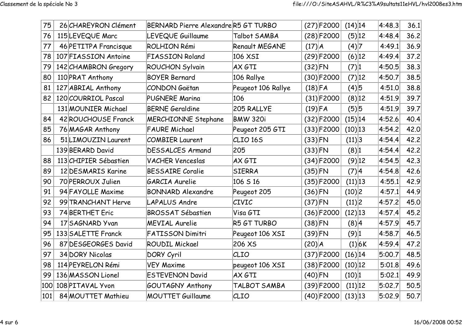| 75  | 26 CHAREYRON Clément  | BERNARD Pierre AlexandreR5 GT TURBO |                     |            | $(27)$ F2000 | $(14)$  14         |        | 4:48.3 | 36.1 |
|-----|-----------------------|-------------------------------------|---------------------|------------|--------------|--------------------|--------|--------|------|
| 76  | 115 LEVEQUE Marc      | LEVEQUE Guillaume                   | Talbot SAMBA        |            | $(28)$ F2000 | (5) 12             |        | 4:48.4 | 36.2 |
| 77  | 46 PETITPA Francisque | ROLHION Rémi                        | Renault MEGANE      | $(17)$ $A$ |              | (4) 7              |        | 4:49.1 | 36.9 |
| 78  | 107 FIASSION Antoine  | <b>FIASSION Roland</b>              | 106 XSI             |            | $(29)$ F2000 | (6) 12             |        | 4:49.4 | 37.2 |
| 79  | 142 CHAMBRON Gregory  | <b>ROUCHON Sylvain</b>              | AX GTI              | $(32)$ FN  |              | (7) 1              |        | 4:50.5 | 38.3 |
| 80  | 110 PRAT Anthony      | <b>BOYER Bernard</b>                | 106 Rallye          |            | $(30)$ F2000 | (7) 12             |        | 4:50.7 | 38.5 |
| 81  | 127 ABRIAL Anthony    | <b>CONDON Gaëtan</b>                | Peugeot 106 Rallye  | $(18)$ FA  |              | (4)5               |        | 4:51.0 | 38.8 |
| 82  | 120 COURRIOL Pascal   | <b>PUGNERE Marina</b>               | 106                 |            | $(31)$ F2000 | (8) 12             |        | 4:51.9 | 39.7 |
|     | 131 MOUNIER Michael   | <b>BERNE Geraldine</b>              | 205 RALLYE          | $(19)$ FA  |              | (5) 5              |        | 4:51.9 | 39.7 |
| 84  | 42 ROUCHOUSE Franck   | <b>MERCHIONNE Stephane</b>          | <b>BMW 320i</b>     |            | $(32)$ F2000 | $(15)$  14         |        | 4:52.6 | 40.4 |
| 85  | 76 MAGAR Anthony      | <b>FAURE Michael</b>                | Peugeot 205 GTI     |            | $(33)$ F2000 | $(10)$ 13          |        | 4:54.2 | 42.0 |
| 86  | 51 LIMOUZIN Laurent   | <b>COMBIER Laurent</b>              | CLIO <sub>165</sub> | $(33)$ FN  |              | (11) 3             |        | 4:54.4 | 42.2 |
|     | 139 BERARD David      | <b>DESSALCES Armand</b>             | 205                 | $(33)$ FN  |              | (8) 1              |        | 4:54.4 | 42.2 |
| 88  | 113 CHIPIER Sébastien | <b>VACHER Venceslas</b>             | AX GTI              |            | $(34)$ F2000 | $(9)$ 12           |        | 4:54.5 | 42.3 |
| 89  | 12 DESMARIS Karine    | <b>BESSAIRE Coralie</b>             | <b>SIERRA</b>       | $(35)$ FN  |              | (7) 4              |        | 4:54.8 | 42.6 |
| 90  | 70 PERROUX Julien     | <b>GARCIA Aurelie</b>               | 106 S 16            |            | $(35)$ F2000 | (11) 13            |        | 4:55.1 | 42.9 |
| 91  | 94 FAYOLLE Maxime     | <b>BONNARD Alexandre</b>            | Peugeot 205         | $(36)$ FN  |              | (10) 2             |        | 4:57.1 | 44.9 |
| 92  | 99 TRANCHANT Herve    | <b>LAPALUS Andre</b>                | CIVIC               | $(37)$ FN  |              | (11) 2             |        | 4:57.2 | 45.0 |
| 93  | 74 BERTHET Eric       | <b>BROSSAT Sébastien</b>            | Visa GTI            |            | $(36)$ F2000 | $(12)$  13         |        | 4:57.4 | 45.2 |
| 94  | 17 SAGNARD Yvan       | <b>MEVIAL Aurelie</b>               | R5 GT TURBO         | $(38)$ FN  |              | (8) 4              |        | 4:57.9 | 45.7 |
| 95  | 133 SALETTE Franck    | <b>FATISSON Dimitri</b>             | Peugeot 106 XSI     | $(39)$ FN  |              | $(9)$ <sup>1</sup> |        | 4:58.7 | 46.5 |
| 96  | 87 DESGEORGES David   | <b>ROUDIL Mickael</b>               | 206 XS              | $(20)$ $A$ |              |                    | (1) 6K | 4:59.4 | 47.2 |
| 97  | 34 DORY Nicolas       | DORY Cyril                          | CLIO                |            | $(37)$ F2000 | $(16)$  14         |        | 5:00.7 | 48.5 |
| 98  | 114 PEYRELON Rémi     | <b>VEY Maxime</b>                   | peugeot 106 XSI     |            | $(38)$ F2000 | $(10)$  12         |        | 5:01.8 | 49.6 |
| 99  | 136 MASSON Lionel     | <b>ESTEVENON David</b>              | AX GTI              | $(40)$ FN  |              | (10) 1             |        | 5:02.1 | 49.9 |
| 100 | 108 PITAVAL Yvon      | GOUTAGNY Anthony                    | TALBOT SAMBA        |            | $(39)$ F2000 | (11) 12            |        | 5:02.7 | 50.5 |
| 101 | 84 MOUTTET Mathieu    | <b>MOUTTET Guillaume</b>            | CLIO                |            | $(40)$ F2000 | (13) 13            |        | 5:02.9 | 50.7 |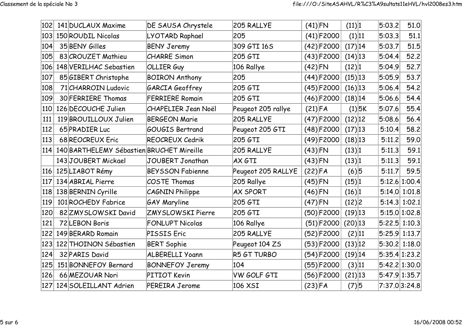| 102 | 141 DUCLAUX Maxime                            | DE SAUSA Chrystele         | 205 RALLYE         | $(41)$ FN    |              | (11) 1     |          | 5:03.2        | 51.0            |
|-----|-----------------------------------------------|----------------------------|--------------------|--------------|--------------|------------|----------|---------------|-----------------|
| 103 | 150 ROUDIL Nicolas                            | LYOTARD Raphael            | 205                |              | $(41)$ F2000 | (1) 11     |          | 5:03.3        | 51.1            |
| 104 | 35 BENY Gilles                                | <b>BENY Jeremy</b>         | 309 GTI 16S        |              | $(42)$ F2000 | (17) 14    |          | 5:03.7        | 51.5            |
| 105 | 83 CROUZET Mathieu                            | <b>CHARRE Simon</b>        | 205 GTI            |              | $(43)$ F2000 | $(14)$ 13  |          | 5:04.4        | 52.2            |
| 106 | 148 VERILHAC Sebastien                        | OLLIER Guy                 | 106 Rallye         | $(42)$ FN    |              | (12) 1     |          | 5:04.9        | 52.7            |
| 107 | 85 GIBERT Christophe                          | <b>BOIRON Anthony</b>      | 205                |              | $(44)$ F2000 | $(15)$  13 |          | 5:05.9        | 53.7            |
| 108 | 71 CHARROIN Ludovic                           | GARCIA Geoffrey            | 205 GTI            |              | $(45)$ F2000 | $(16)$  13 |          | 5:06.4        | 54.2            |
| 109 | 30 FERRIERE Thomas                            | <b>FERRIERE Romain</b>     | 205 GTI            |              | $(46)$ F2000 | $(18)$ 14  |          | 5:06.6        | 54.4            |
| 110 | 126 DECOUCHE Julien                           | <b>CHAPELIER Jean Noël</b> | Peugeot 205 rallye | $(21)$ FA    |              |            | $(1)$ 5K | 5:07.6        | 55.4            |
| 111 | 119 BROUILLOUX Julien                         | <b>BERGEON Marie</b>       | 205 RALLYE         | $(47)$ F2000 |              | $(12)$  12 |          | 5:08.6        | 56.4            |
| 112 | 65 PRADIER Luc                                | <b>GOUGIS Bertrand</b>     | Peugeot 205 GTI    | $(48)$ F2000 |              | $(17)$ 13  |          | 5:10.4        | 58.2            |
| 113 | 68 REOCREUX Eric                              | REOCREUX Cedrik            | 205 GTI            | $(49)$ F2000 |              | $(18)$ 13  |          | 5:11.2        | 59.0            |
|     | 114 140 BARTHELEMY Sébastien BRUCHET Mireille |                            | 205 RALLYE         | $(43)$ FN    |              | (13) 1     |          | 5:11.3        | 59.1            |
|     | 143 JOUBERT Mickael                           | <b>JOUBERT Jonathan</b>    | AX GTI             | $(43)$ FN    |              | (13) 1     |          | 5:11.3        | 59.1            |
|     | 116 125 LIABOT Rémy                           | <b>BEYSSON Fabienne</b>    | Peugeot 205 RALLYE | $(22)$ FA    |              | (6)5       |          | 5:11.7        | 59.5            |
| 117 | 134 ABRIAL Pierre                             | COSTE Thomas               | 205 Rallye         | $(45)$ FN    |              | (15) 1     |          |               | 5:12.6 1:00.4   |
|     | 118 138 BERNIN Cyrille                        | CAGNIN Philippe            | <b>AX SPORT</b>    | $(46)$ FN    |              | (16) 1     |          |               | 5:14.0 1:01.8   |
| 119 | 101 ROCHEDY Fabrice                           | <b>GAY Maryline</b>        | 205 GTI            | $(47)$ FN    |              | (12) 2     |          |               | $5:14.3$ 1:02.1 |
| 120 | 82 ZMY SLOWSKI David                          | <b>ZMYSLOWSKI Pierre</b>   | 205 GTI            |              | $(50)$ F2000 | $(19)$ 13  |          |               | 5:15.0 1:02.8   |
| 121 | 72 LEBON Boris                                | <b>FONLUPT Nicolas</b>     | 106 Rallye         |              | $(51)$ F2000 | $(20)$ 13  |          |               | 5:22.5 1:10.3   |
| 122 | 149 BERARD Romain                             | PISSIS Eric                | 205 RALLYE         |              | $(52)$ F2000 | (2) 11     |          |               | $5:25.9$ 1:13.7 |
| 123 | 122 THOINON Sébastien                         | <b>BERT Sophie</b>         | Peugeot 104 ZS     |              | $(53)$ F2000 | (13) 12    |          |               | 5:30.2 1:18.0   |
| 124 | 32 PARIS David                                | <b>ALBERELLI Yoann</b>     | R5 GT TURBO        |              | $(54)$ F2000 | $(19)$ 14  |          | 5:35.4 1:23.2 |                 |
| 125 | 151 BONNEFOY Bernard                          | <b>BONNEFOY Jeremy</b>     | 104                |              | $(55)$ F2000 | (3) 11     |          |               | 5:42.2 1:30.0   |
| 126 | 66 MEZOUAR Nori                               | PITIOT Kevin               | VW GOLF GTI        |              | $(56)$ F2000 | $(21)$  13 |          | 5:47.9 1:35.7 |                 |
|     | 127 124 SOLEILLANT Adrien                     | <b>PEREIRA Jerome</b>      | 106 XSI            | $(23)$ FA    |              | $(7)$ 5    |          |               | 7:37.03:24.8    |